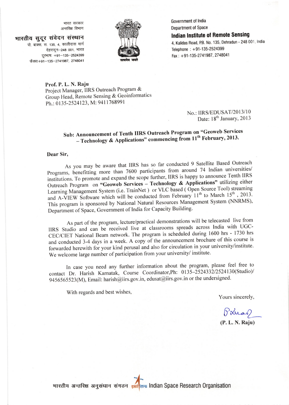- भारत सरकार<br>अन्तरिक्ष विभाग

भारतीय सुदूर संवेदन संस्थान पो. बाक्स. स. 135, 4, कालीदास मार्ग



Government of lndia Department of Space

Indian Institute of Remote Sensing

4, Kalidas Road, P.B. No. 135, Dehradun - 248 001, India Telephone : +91-135-2524399 Fax: +91-135-2741987, 2748041

Prof. P. L. N. Raju

देहरादून-248 001, भारत दूरभाषः +91-135-2524399 फैक्स:+91-135-2741987, 2748041

> Project Manager, IIRS Outreach Program & Group Head, Remote Sensing & Geoinformatics Ph.: 0135-2524123, M: 941 1768991

> > No.: IIRS/EDUSAT/2013/10 Date: 18<sup>th</sup> January, 2013

## Sub: Announcement of Tenth IIRS outreach Program on "Geoweb Services - Technology & Applications" commencing from  $11<sup>th</sup>$  February, 2013.

## Dear Sir,

As you may be aware that IIRS has so far conducted 9 Satellite Based outreach programs, benefitting more than 7600 participants from around 74 Indian universities/<br>Programs, benefitting more than 7600 participants IIDS is banny to announce Tenth IIRS institutions. To promote and expand the scope further, IIRS is happy to announce Tenth IIRS Outreach Program on "Geoweb Services - Technology & Applications" utilizing either Learning Management System (i.e. TrainNet ) or VLC based ( Open Source Tool) streaming and A-VIEW Software which will be conducted from February  $11<sup>th</sup>$  to March  $15<sup>th</sup>$ , 2013. This program is sponsored by National Natural Resources Management System (NNRMS), Department of Space, Government of India for Capacity Building.

As part of the program, lecture/practical demonstrations will be telecasted live from IIRS Studio and can be received live at classrooms spreads across India with UGC-CEC/CIET National Beam network. The program is scheduled during 1600 hrs - 1730 hrs and conducted 3-4 days in a week. A copy of the announcement brochure of this course is forwarded herewith for your kind perusal and also for circulation in your university/institute. We welcome large number of participation from your university/ institute.

In case you need any further information about the program, please feel free to contact Dr. Harish Karnatak, Course Coordinator,Ph: Ol35-252433212524130(Studio)/ 945 65 65 523 (M), Email: harish@iirs.gov.in, edusat@iirs.gov.in or the undersigned.

With regards and best wishes,

Yours sincerely,

 $\beta$  stras)

(P.L.N. Raju)

4